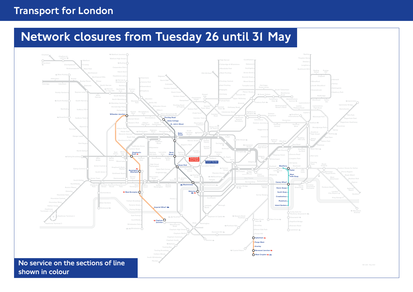# Transport for London

# Network closures from Tuesday 26 until 31 May